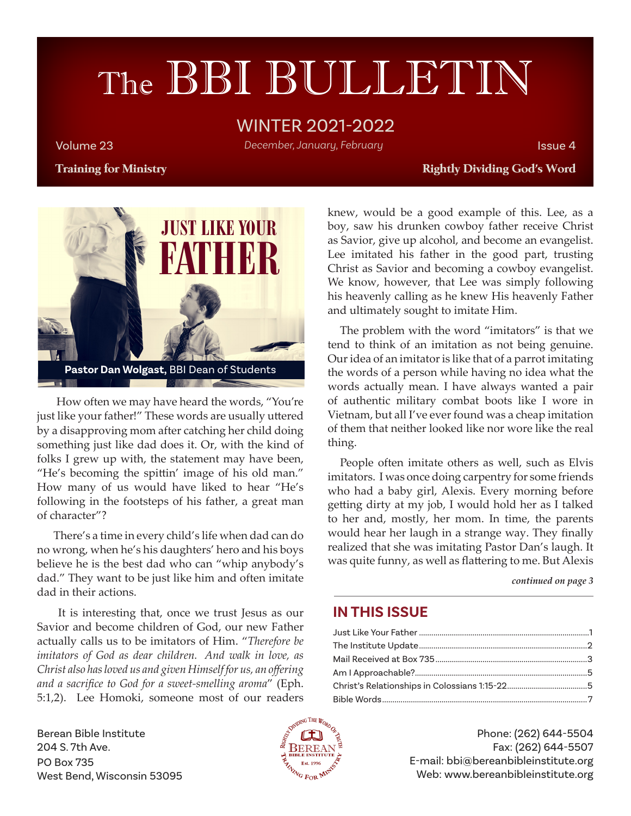# The BBI BULLETIN

### WINTER 2021-2022

Volume 23 Issue 4 *December, January, February*

#### **Training for Ministry Rightly Dividing God's Word**



 How often we may have heard the words, "You're just like your father!" These words are usually uttered by a disapproving mom after catching her child doing something just like dad does it. Or, with the kind of folks I grew up with, the statement may have been, "He's becoming the spittin' image of his old man." How many of us would have liked to hear "He's following in the footsteps of his father, a great man of character"?

 There's a time in every child's life when dad can do no wrong, when he's his daughters' hero and his boys believe he is the best dad who can "whip anybody's dad." They want to be just like him and often imitate dad in their actions.

 It is interesting that, once we trust Jesus as our Savior and become children of God, our new Father actually calls us to be imitators of Him. "*Therefore be imitators of God as dear children. And walk in love, as Christ also has loved us and given Himself for us, an offering and a sacrifice to God for a sweet-smelling aroma*" (Eph. 5:1,2).Lee Homoki, someone most of our readers knew, would be a good example of this. Lee, as a boy, saw his drunken cowboy father receive Christ as Savior, give up alcohol, and become an evangelist. Lee imitated his father in the good part, trusting Christ as Savior and becoming a cowboy evangelist. We know, however, that Lee was simply following his heavenly calling as he knew His heavenly Father and ultimately sought to imitate Him.

The problem with the word "imitators" is that we tend to think of an imitation as not being genuine. Our idea of an imitator is like that of a parrot imitating the words of a person while having no idea what the words actually mean. I have always wanted a pair of authentic military combat boots like I wore in Vietnam, but all I've ever found was a cheap imitation of them that neither looked like nor wore like the real thing.

People often imitate others as well, such as Elvis imitators. I was once doing carpentry for some friends who had a baby girl, Alexis. Every morning before getting dirty at my job, I would hold her as I talked to her and, mostly, her mom. In time, the parents would hear her laugh in a strange way. They finally realized that she was imitating Pastor Dan's laugh. It was quite funny, as well as flattering to me. But Alexis

*continued on page 3*

#### **IN THIS ISSUE**

Berean Bible Institute 204 S. 7th Ave. PO Box 735 West Bend, Wisconsin 53095



Phone: (262) 644-5504 Fax: (262) 644-5507 E-mail: bbi@bereanbibleinstitute.org Web: www.bereanbibleinstitute.org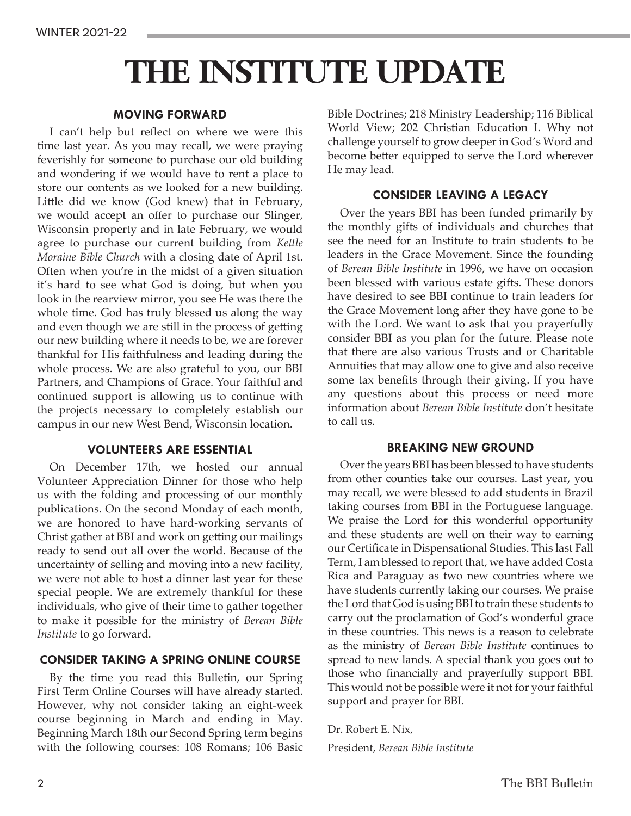## **THE INSTITUTE UPDATE**

#### **MOVING FORWARD**

I can't help but reflect on where we were this time last year. As you may recall, we were praying feverishly for someone to purchase our old building and wondering if we would have to rent a place to store our contents as we looked for a new building. Little did we know (God knew) that in February, we would accept an offer to purchase our Slinger, Wisconsin property and in late February, we would agree to purchase our current building from *Kettle Moraine Bible Church* with a closing date of April 1st. Often when you're in the midst of a given situation it's hard to see what God is doing, but when you look in the rearview mirror, you see He was there the whole time. God has truly blessed us along the way and even though we are still in the process of getting our new building where it needs to be, we are forever thankful for His faithfulness and leading during the whole process. We are also grateful to you, our BBI Partners, and Champions of Grace. Your faithful and continued support is allowing us to continue with the projects necessary to completely establish our campus in our new West Bend, Wisconsin location.

#### **VOLUNTEERS ARE ESSENTIAL**

On December 17th, we hosted our annual Volunteer Appreciation Dinner for those who help us with the folding and processing of our monthly publications. On the second Monday of each month, we are honored to have hard-working servants of Christ gather at BBI and work on getting our mailings ready to send out all over the world. Because of the uncertainty of selling and moving into a new facility, we were not able to host a dinner last year for these special people. We are extremely thankful for these individuals, who give of their time to gather together to make it possible for the ministry of *Berean Bible Institute* to go forward.

#### **CONSIDER TAKING A SPRING ONLINE COURSE**

By the time you read this Bulletin, our Spring First Term Online Courses will have already started. However, why not consider taking an eight-week course beginning in March and ending in May. Beginning March 18th our Second Spring term begins with the following courses: 108 Romans; 106 Basic Bible Doctrines; 218 Ministry Leadership; 116 Biblical World View; 202 Christian Education I. Why not challenge yourself to grow deeper in God's Word and become better equipped to serve the Lord wherever He may lead.

#### **CONSIDER LEAVING A LEGACY**

Over the years BBI has been funded primarily by the monthly gifts of individuals and churches that see the need for an Institute to train students to be leaders in the Grace Movement. Since the founding of *Berean Bible Institute* in 1996, we have on occasion been blessed with various estate gifts. These donors have desired to see BBI continue to train leaders for the Grace Movement long after they have gone to be with the Lord. We want to ask that you prayerfully consider BBI as you plan for the future. Please note that there are also various Trusts and or Charitable Annuities that may allow one to give and also receive some tax benefits through their giving. If you have any questions about this process or need more information about *Berean Bible Institute* don't hesitate to call us.

#### **BREAKING NEW GROUND**

Over the years BBI has been blessed to have students from other counties take our courses. Last year, you may recall, we were blessed to add students in Brazil taking courses from BBI in the Portuguese language. We praise the Lord for this wonderful opportunity and these students are well on their way to earning our Certificate in Dispensational Studies. This last Fall Term, I am blessed to report that, we have added Costa Rica and Paraguay as two new countries where we have students currently taking our courses. We praise the Lord that God is using BBI to train these students to carry out the proclamation of God's wonderful grace in these countries. This news is a reason to celebrate as the ministry of *Berean Bible Institute* continues to spread to new lands. A special thank you goes out to those who financially and prayerfully support BBI. This would not be possible were it not for your faithful support and prayer for BBI.

Dr. Robert E. Nix,

President, *Berean Bible Institute*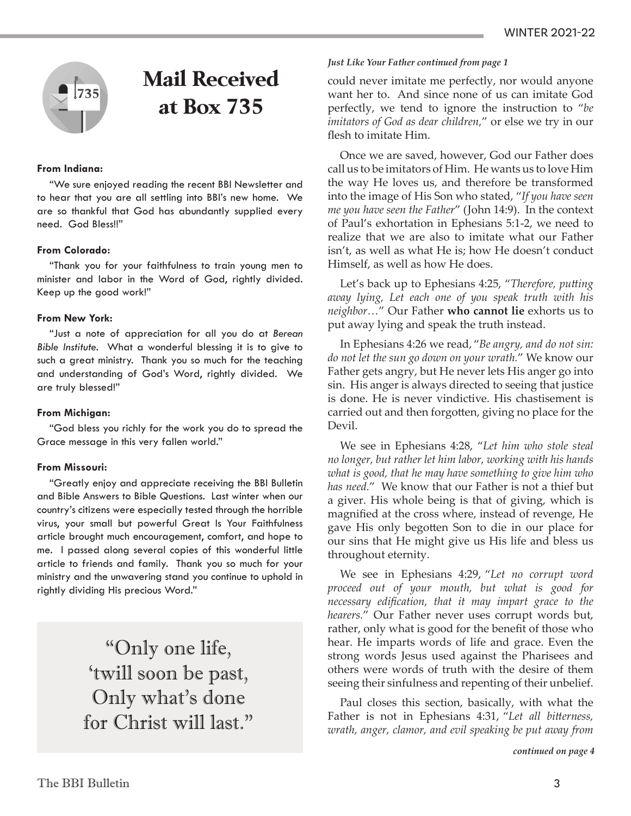

## **Mail Received at Box 735**

#### **From Indiana:**

"We sure enjoyed reading the recent BBI Newsletter and to hear that you are all settling into BBI's new home. We are so thankful that God has abundantly supplied every need. God Bless!!"

#### **From Colorado:**

"Thank you for your faithfulness to train young men to minister and labor in the Word of God, rightly divided. Keep up the good work!"

#### **From New York:**

"Just a note of appreciation for all you do at *Berean Bible Institute.* What a wonderful blessing it is to give to such a great ministry. Thank you so much for the teaching and understanding of God's Word, rightly divided. We are truly blessed!"

#### **From Michigan:**

"God bless you richly for the work you do to spread the Grace message in this very fallen world."

#### **From Missouri:**

"Greatly enjoy and appreciate receiving the BBI Bulletin and Bible Answers to Bible Questions. Last winter when our country's citizens were especially tested through the horrible virus, your small but powerful Great Is Your Faithfulness article brought much encouragement, comfort, and hope to me. I passed along several copies of this wonderful little article to friends and family. Thank you so much for your ministry and the unwavering stand you continue to uphold in rightly dividing His precious Word."

> "Only one life, 'twill soon be past, Only what's done for Christ will last."

#### *Just Like Your Father continued from page 1*

could never imitate me perfectly, nor would anyone want her to. And since none of us can imitate God perfectly, we tend to ignore the instruction to "*be imitators of God as dear children,*" or else we try in our flesh to imitate Him.

Once we are saved, however, God our Father does call us to be imitators of Him. He wants us to love Him the way He loves us, and therefore be transformed into the image of His Son who stated, "*If you have seen me you have seen the Father*" (John 14:9). In the context of Paul's exhortation in Ephesians 5:1-2, we need to realize that we are also to imitate what our Father isn't, as well as what He is; how He doesn't conduct Himself, as well as how He does.

Let's back up to Ephesians 4:25, "*Therefore, putting away lying, Let each one of you speak truth with his neighbor…*" Our Father **who cannot lie** exhorts us to put away lying and speak the truth instead.

In Ephesians 4:26 we read, "*Be angry, and do not sin: do not let the sun go down on your wrath.*" We know our Father gets angry, but He never lets His anger go into sin. His anger is always directed to seeing that justice is done. He is never vindictive. His chastisement is carried out and then forgotten, giving no place for the Devil.

We see in Ephesians 4:28, "*Let him who stole steal no longer, but rather let him labor, working with his hands what is good, that he may have something to give him who has need.*" We know that our Father is not a thief but a giver. His whole being is that of giving, which is magnified at the cross where, instead of revenge, He gave His only begotten Son to die in our place for our sins that He might give us His life and bless us throughout eternity.

We see in Ephesians 4:29, "*Let no corrupt word proceed out of your mouth, but what is good for necessary edification, that it may impart grace to the hearers.*" Our Father never uses corrupt words but, rather, only what is good for the benefit of those who hear. He imparts words of life and grace. Even the strong words Jesus used against the Pharisees and others were words of truth with the desire of them seeing their sinfulness and repenting of their unbelief.

Paul closes this section, basically, with what the Father is not in Ephesians 4:31, "*Let all bitterness, wrath, anger, clamor, and evil speaking be put away from* 

*continued on page 4*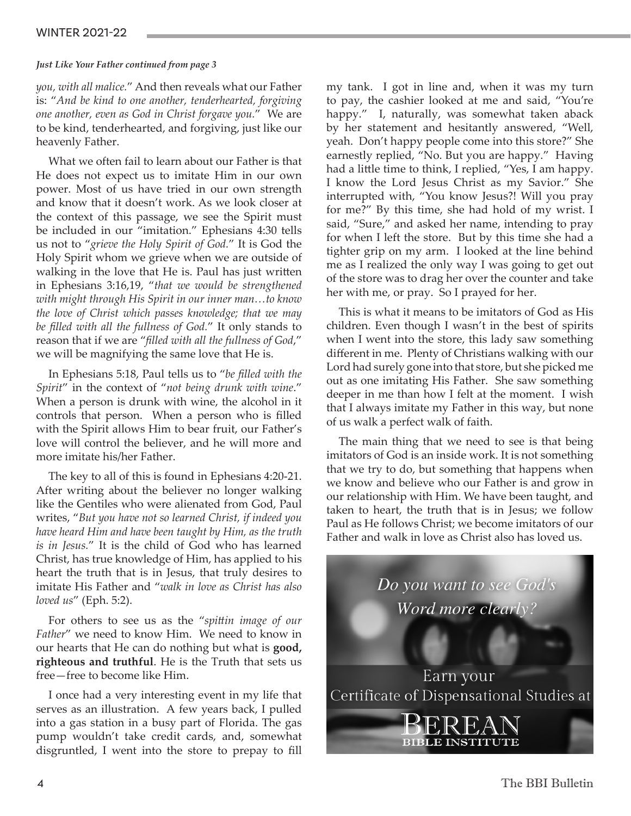#### WINTER 2021-22

#### *Just Like Your Father continued from page 3*

*you, with all malice.*" And then reveals what our Father is: "*And be kind to one another, tenderhearted, forgiving one another, even as God in Christ forgave you.*" We are to be kind, tenderhearted, and forgiving, just like our heavenly Father.

What we often fail to learn about our Father is that He does not expect us to imitate Him in our own power. Most of us have tried in our own strength and know that it doesn't work. As we look closer at the context of this passage, we see the Spirit must be included in our "imitation." Ephesians 4:30 tells us not to "*grieve the Holy Spirit of God.*" It is God the Holy Spirit whom we grieve when we are outside of walking in the love that He is. Paul has just written in Ephesians 3:16,19, "*that we would be strengthened with might through His Spirit in our inner man…to know the love of Christ which passes knowledge; that we may be filled with all the fullness of God.*" It only stands to reason that if we are "*filled with all the fullness of God*," we will be magnifying the same love that He is.

In Ephesians 5:18, Paul tells us to "*be filled with the Spirit*" in the context of "*not being drunk with wine*." When a person is drunk with wine, the alcohol in it controls that person. When a person who is filled with the Spirit allows Him to bear fruit, our Father's love will control the believer, and he will more and more imitate his/her Father.

The key to all of this is found in Ephesians 4:20-21. After writing about the believer no longer walking like the Gentiles who were alienated from God, Paul writes, "*But you have not so learned Christ, if indeed you have heard Him and have been taught by Him, as the truth is in Jesus.*" It is the child of God who has learned Christ, has true knowledge of Him, has applied to his heart the truth that is in Jesus, that truly desires to imitate His Father and "*walk in love as Christ has also loved us*" (Eph. 5:2).

For others to see us as the "*spittin image of our Father*" we need to know Him. We need to know in our hearts that He can do nothing but what is **good, righteous and truthful**. He is the Truth that sets us free—free to become like Him.

I once had a very interesting event in my life that serves as an illustration. A few years back, I pulled into a gas station in a busy part of Florida. The gas pump wouldn't take credit cards, and, somewhat disgruntled, I went into the store to prepay to fill my tank. I got in line and, when it was my turn to pay, the cashier looked at me and said, "You're happy." I, naturally, was somewhat taken aback by her statement and hesitantly answered, "Well, yeah. Don't happy people come into this store?" She earnestly replied, "No. But you are happy." Having had a little time to think, I replied, "Yes, I am happy. I know the Lord Jesus Christ as my Savior." She interrupted with, "You know Jesus?! Will you pray for me?" By this time, she had hold of my wrist. I said, "Sure," and asked her name, intending to pray for when I left the store. But by this time she had a tighter grip on my arm. I looked at the line behind me as I realized the only way I was going to get out of the store was to drag her over the counter and take her with me, or pray. So I prayed for her.

This is what it means to be imitators of God as His children. Even though I wasn't in the best of spirits when I went into the store, this lady saw something different in me. Plenty of Christians walking with our Lord had surely gone into that store, but she picked me out as one imitating His Father. She saw something deeper in me than how I felt at the moment. I wish that I always imitate my Father in this way, but none of us walk a perfect walk of faith.

The main thing that we need to see is that being imitators of God is an inside work. It is not something that we try to do, but something that happens when we know and believe who our Father is and grow in our relationship with Him. We have been taught, and taken to heart, the truth that is in Jesus; we follow Paul as He follows Christ; we become imitators of our Father and walk in love as Christ also has loved us.

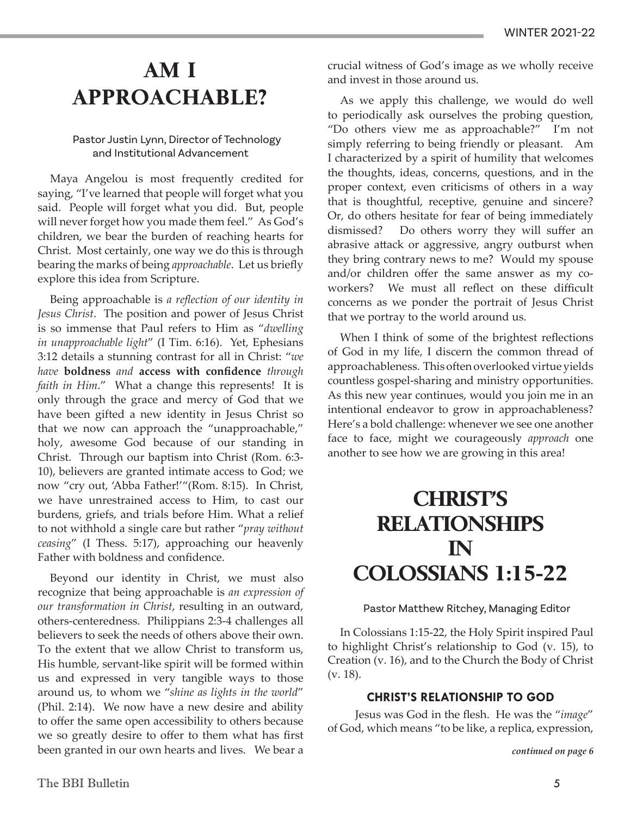## **AM I APPROACHABLE?**

#### Pastor Justin Lynn, Director of Technology and Institutional Advancement

Maya Angelou is most frequently credited for saying, "I've learned that people will forget what you said. People will forget what you did. But, people will never forget how you made them feel." As God's children, we bear the burden of reaching hearts for Christ. Most certainly, one way we do this is through bearing the marks of being *approachable*. Let us briefly explore this idea from Scripture.

Being approachable is *a reflection of our identity in Jesus Christ*. The position and power of Jesus Christ is so immense that Paul refers to Him as "*dwelling in unapproachable light*" (I Tim. 6:16). Yet, Ephesians 3:12 details a stunning contrast for all in Christ: "*we have* **boldness** *and* **access with confidence** *through faith in Him*." What a change this represents! It is only through the grace and mercy of God that we have been gifted a new identity in Jesus Christ so that we now can approach the "unapproachable," holy, awesome God because of our standing in Christ. Through our baptism into Christ (Rom. 6:3- 10), believers are granted intimate access to God; we now "cry out, 'Abba Father!'"(Rom. 8:15). In Christ, we have unrestrained access to Him, to cast our burdens, griefs, and trials before Him. What a relief to not withhold a single care but rather "*pray without ceasing*" (I Thess. 5:17), approaching our heavenly Father with boldness and confidence.

Beyond our identity in Christ, we must also recognize that being approachable is *an expression of our transformation in Christ*, resulting in an outward, others-centeredness. Philippians 2:3-4 challenges all believers to seek the needs of others above their own. To the extent that we allow Christ to transform us, His humble, servant-like spirit will be formed within us and expressed in very tangible ways to those around us, to whom we "*shine as lights in the world*" (Phil. 2:14). We now have a new desire and ability to offer the same open accessibility to others because we so greatly desire to offer to them what has first been granted in our own hearts and lives. We bear a crucial witness of God's image as we wholly receive and invest in those around us.

As we apply this challenge, we would do well to periodically ask ourselves the probing question, "Do others view me as approachable?" I'm not simply referring to being friendly or pleasant. Am I characterized by a spirit of humility that welcomes the thoughts, ideas, concerns, questions, and in the proper context, even criticisms of others in a way that is thoughtful, receptive, genuine and sincere? Or, do others hesitate for fear of being immediately dismissed? Do others worry they will suffer an abrasive attack or aggressive, angry outburst when they bring contrary news to me? Would my spouse and/or children offer the same answer as my coworkers? We must all reflect on these difficult concerns as we ponder the portrait of Jesus Christ that we portray to the world around us.

When I think of some of the brightest reflections of God in my life, I discern the common thread of approachableness. This often overlooked virtue yields countless gospel-sharing and ministry opportunities. As this new year continues, would you join me in an intentional endeavor to grow in approachableness? Here's a bold challenge: whenever we see one another face to face, might we courageously *approach* one another to see how we are growing in this area!

## **CHRIST'S RELATIONSHIPS IN COLOSSIANS 1:15-22**

#### Pastor Matthew Ritchey, Managing Editor

In Colossians 1:15-22, the Holy Spirit inspired Paul to highlight Christ's relationship to God (v. 15), to Creation (v. 16), and to the Church the Body of Christ (v. 18).

#### **CHRIST'S RELATIONSHIP TO GOD**

 Jesus was God in the flesh. He was the "*image*" of God, which means "to be like, a replica, expression,

*continued on page 6*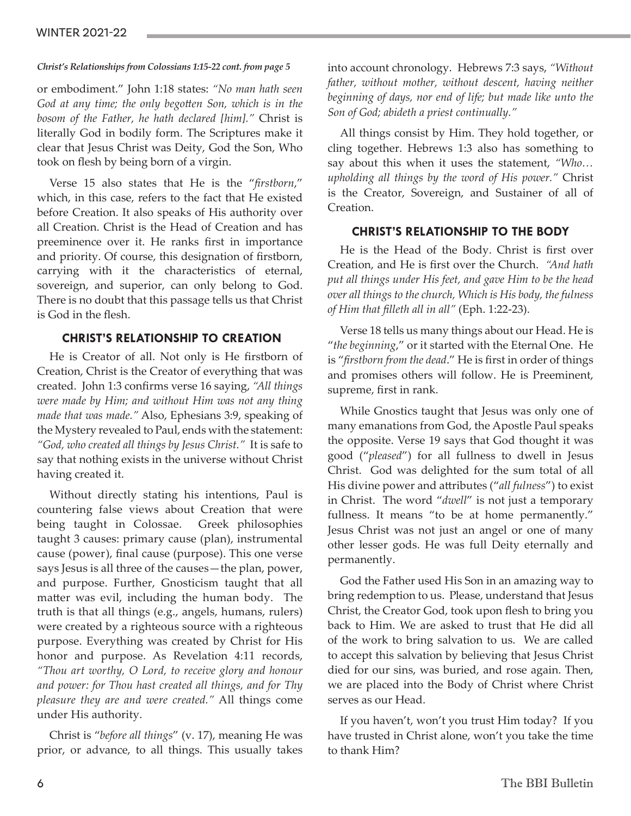#### *Christ's Relationships from Colossians 1:15-22 cont. from page 5*

or embodiment." John 1:18 states: *"No man hath seen God at any time; the only begotten Son, which is in the bosom of the Father, he hath declared [him]."* Christ is literally God in bodily form. The Scriptures make it clear that Jesus Christ was Deity, God the Son, Who took on flesh by being born of a virgin.

Verse 15 also states that He is the "*firstborn*," which, in this case, refers to the fact that He existed before Creation. It also speaks of His authority over all Creation. Christ is the Head of Creation and has preeminence over it. He ranks first in importance and priority. Of course, this designation of firstborn, carrying with it the characteristics of eternal, sovereign, and superior, can only belong to God. There is no doubt that this passage tells us that Christ is God in the flesh.

#### **CHRIST'S RELATIONSHIP TO CREATION**

He is Creator of all. Not only is He firstborn of Creation, Christ is the Creator of everything that was created. John 1:3 confirms verse 16 saying, *"All things were made by Him; and without Him was not any thing made that was made."* Also, Ephesians 3:9, speaking of the Mystery revealed to Paul, ends with the statement: *"God, who created all things by Jesus Christ."* It is safe to say that nothing exists in the universe without Christ having created it.

Without directly stating his intentions, Paul is countering false views about Creation that were being taught in Colossae. Greek philosophies taught 3 causes: primary cause (plan), instrumental cause (power), final cause (purpose). This one verse says Jesus is all three of the causes—the plan, power, and purpose. Further, Gnosticism taught that all matter was evil, including the human body. The truth is that all things (e.g., angels, humans, rulers) were created by a righteous source with a righteous purpose. Everything was created by Christ for His honor and purpose. As Revelation 4:11 records, *"Thou art worthy, O Lord, to receive glory and honour and power: for Thou hast created all things, and for Thy pleasure they are and were created."* All things come under His authority.

Christ is "*before all things*" (v. 17), meaning He was prior, or advance, to all things. This usually takes

into account chronology. Hebrews 7:3 says, *"Without father, without mother, without descent, having neither beginning of days, nor end of life; but made like unto the Son of God; abideth a priest continually."*

All things consist by Him. They hold together, or cling together. Hebrews 1:3 also has something to say about this when it uses the statement, *"Who… upholding all things by the word of His power."* Christ is the Creator, Sovereign, and Sustainer of all of Creation.

#### **CHRIST'S RELATIONSHIP TO THE BODY**

He is the Head of the Body. Christ is first over Creation, and He is first over the Church. *"And hath put all things under His feet, and gave Him to be the head over all things to the church, Which is His body, the fulness of Him that filleth all in all"* (Eph. 1:22-23).

Verse 18 tells us many things about our Head. He is "*the beginning*," or it started with the Eternal One. He is "*firstborn from the dead*." He is first in order of things and promises others will follow. He is Preeminent, supreme, first in rank.

While Gnostics taught that Jesus was only one of many emanations from God, the Apostle Paul speaks the opposite. Verse 19 says that God thought it was good ("*pleased*") for all fullness to dwell in Jesus Christ. God was delighted for the sum total of all His divine power and attributes ("*all fulness*") to exist in Christ. The word "*dwell*" is not just a temporary fullness. It means "to be at home permanently." Jesus Christ was not just an angel or one of many other lesser gods. He was full Deity eternally and permanently.

God the Father used His Son in an amazing way to bring redemption to us. Please, understand that Jesus Christ, the Creator God, took upon flesh to bring you back to Him. We are asked to trust that He did all of the work to bring salvation to us. We are called to accept this salvation by believing that Jesus Christ died for our sins, was buried, and rose again. Then, we are placed into the Body of Christ where Christ serves as our Head.

If you haven't, won't you trust Him today? If you have trusted in Christ alone, won't you take the time to thank Him?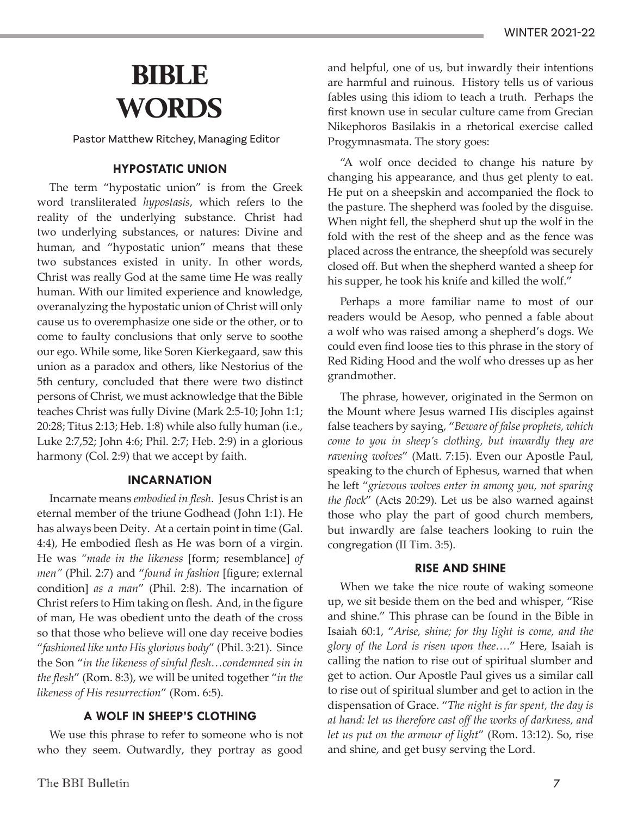## **BIBLE WORDS**

Pastor Matthew Ritchey, Managing Editor

#### **HYPOSTATIC UNION**

The term "hypostatic union" is from the Greek word transliterated *hypostasis*, which refers to the reality of the underlying substance. Christ had two underlying substances, or natures: Divine and human, and "hypostatic union" means that these two substances existed in unity. In other words, Christ was really God at the same time He was really human. With our limited experience and knowledge, overanalyzing the hypostatic union of Christ will only cause us to overemphasize one side or the other, or to come to faulty conclusions that only serve to soothe our ego. While some, like Soren Kierkegaard, saw this union as a paradox and others, like Nestorius of the 5th century, concluded that there were two distinct persons of Christ, we must acknowledge that the Bible teaches Christ was fully Divine (Mark 2:5-10; John 1:1; 20:28; Titus 2:13; Heb. 1:8) while also fully human (i.e., Luke 2:7,52; John 4:6; Phil. 2:7; Heb. 2:9) in a glorious harmony (Col. 2:9) that we accept by faith.

#### **INCARNATION**

Incarnate means *embodied in flesh*. Jesus Christ is an eternal member of the triune Godhead (John 1:1). He has always been Deity. At a certain point in time (Gal. 4:4), He embodied flesh as He was born of a virgin. He was *"made in the likeness* [form; resemblance] *of men"* (Phil. 2:7) and "*found in fashion* [figure; external condition] *as a man*" (Phil. 2:8). The incarnation of Christ refers to Him taking on flesh. And, in the figure of man, He was obedient unto the death of the cross so that those who believe will one day receive bodies "*fashioned like unto His glorious body*" (Phil. 3:21). Since the Son "*in the likeness of sinful flesh…condemned sin in the flesh*" (Rom. 8:3), we will be united together "*in the likeness of His resurrection*" (Rom. 6:5).

#### **A WOLF IN SHEEP'S CLOTHING**

We use this phrase to refer to someone who is not who they seem. Outwardly, they portray as good and helpful, one of us, but inwardly their intentions are harmful and ruinous. History tells us of various fables using this idiom to teach a truth. Perhaps the first known use in secular culture came from Grecian Nikephoros Basilakis in a rhetorical exercise called Progymnasmata. The story goes:

"A wolf once decided to change his nature by changing his appearance, and thus get plenty to eat. He put on a sheepskin and accompanied the flock to the pasture. The shepherd was fooled by the disguise. When night fell, the shepherd shut up the wolf in the fold with the rest of the sheep and as the fence was placed across the entrance, the sheepfold was securely closed off. But when the shepherd wanted a sheep for his supper, he took his knife and killed the wolf."

Perhaps a more familiar name to most of our readers would be Aesop, who penned a fable about a wolf who was raised among a shepherd's dogs. We could even find loose ties to this phrase in the story of Red Riding Hood and the wolf who dresses up as her grandmother.

The phrase, however, originated in the Sermon on the Mount where Jesus warned His disciples against false teachers by saying, "*Beware of false prophets, which come to you in sheep's clothing, but inwardly they are ravening wolves*" (Matt. 7:15). Even our Apostle Paul, speaking to the church of Ephesus, warned that when he left "*grievous wolves enter in among you, not sparing the flock*" (Acts 20:29). Let us be also warned against those who play the part of good church members, but inwardly are false teachers looking to ruin the congregation (II Tim. 3:5).

#### **RISE AND SHINE**

When we take the nice route of waking someone up, we sit beside them on the bed and whisper, "Rise and shine." This phrase can be found in the Bible in Isaiah 60:1, "*Arise, shine; for thy light is come, and the glory of the Lord is risen upon thee….*" Here, Isaiah is calling the nation to rise out of spiritual slumber and get to action. Our Apostle Paul gives us a similar call to rise out of spiritual slumber and get to action in the dispensation of Grace. "*The night is far spent, the day is at hand: let us therefore cast off the works of darkness, and let us put on the armour of light*" (Rom. 13:12). So, rise and shine, and get busy serving the Lord.